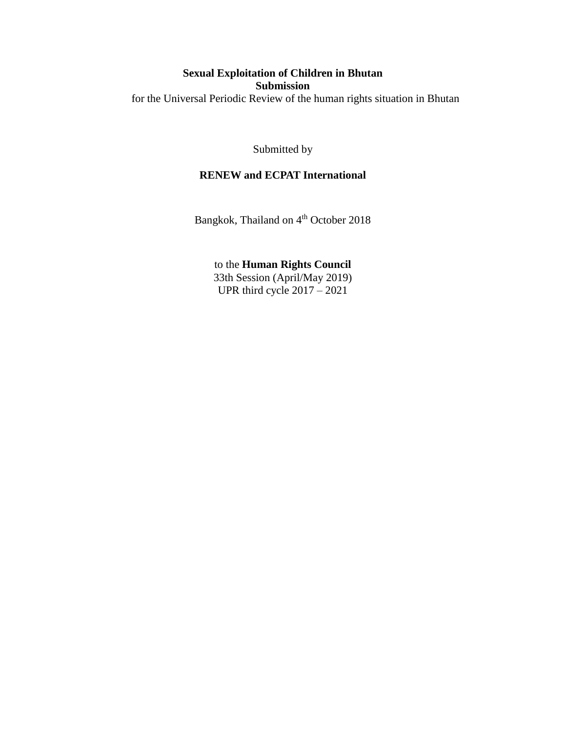# **Sexual Exploitation of Children in Bhutan Submission** for the Universal Periodic Review of the human rights situation in Bhutan

Submitted by

# **RENEW and ECPAT International**

Bangkok, Thailand on 4<sup>th</sup> October 2018

to the **Human Rights Council** 33th Session (April/May 2019) UPR third cycle 2017 – 2021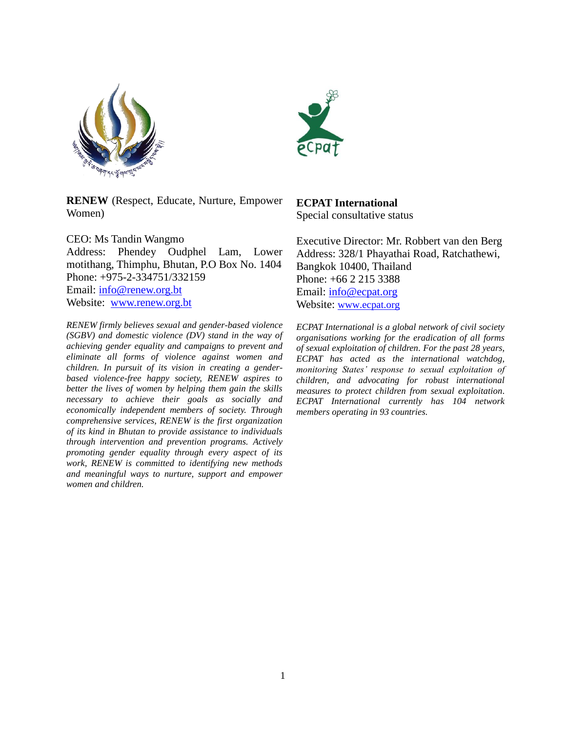



**RENEW** (Respect, Educate, Nurture, Empower Women)

CEO: Ms Tandin Wangmo Address: Phendey Oudphel Lam, Lower motithang, Thimphu, Bhutan, P.O Box No. 1404 Phone: +975-2-334751/332159 Email: [info@renew.org.bt](mailto:info@renew.org.bt)  Website: [www.renew.org.bt](http://www.renew.org.bt/)

*RENEW firmly believes sexual and gender-based violence (SGBV) and domestic violence (DV) stand in the way of achieving gender equality and campaigns to prevent and eliminate all forms of violence against women and children. In pursuit of its vision in creating a genderbased violence-free happy society, RENEW aspires to better the lives of women by helping them gain the skills necessary to achieve their goals as socially and economically independent members of society. Through comprehensive services, RENEW is the first organization of its kind in Bhutan to provide assistance to individuals through intervention and prevention programs. Actively promoting gender equality through every aspect of its work, RENEW is committed to identifying new methods and meaningful ways to nurture, support and empower women and children.*

# **ECPAT International**

Special consultative status

Executive Director: Mr. Robbert van den Berg Address: 328/1 Phayathai Road, Ratchathewi, Bangkok 10400, Thailand Phone: [+66 2 215 3388](tel:+66%202%20215%203388) Email: [info@ecpat.org](mailto:info@ecpat.org) Website: [www.ecpat.o](http://www.ecpat.org/)rg

*ECPAT International is a global network of civil society organisations working for the eradication of all forms of sexual exploitation of children. For the past 28 years, ECPAT has acted as the international watchdog, monitoring States' response to sexual exploitation of children, and advocating for robust international measures to protect children from sexual exploitation. ECPAT International currently has 104 network members operating in 93 countries.*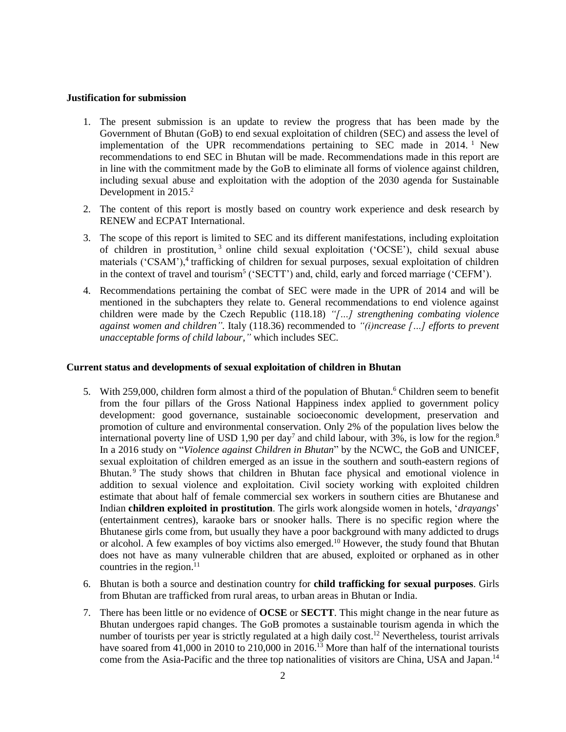#### **Justification for submission**

- 1. The present submission is an update to review the progress that has been made by the Government of Bhutan (GoB) to end sexual exploitation of children (SEC) and assess the level of implementation of the UPR recommendations pertaining to SEC made in 2014.<sup>1</sup> New recommendations to end SEC in Bhutan will be made. Recommendations made in this report are in line with the commitment made by the GoB to eliminate all forms of violence against children, including sexual abuse and exploitation with the adoption of the 2030 agenda for Sustainable Development in 2015.<sup>2</sup>
- 2. The content of this report is mostly based on country work experience and desk research by RENEW and ECPAT International.
- 3. The scope of this report is limited to SEC and its different manifestations, including exploitation of children in prostitution, <sup>3</sup> online child sexual exploitation ('OCSE'), child sexual abuse materials ('CSAM'),<sup>4</sup> trafficking of children for sexual purposes, sexual exploitation of children in the context of travel and tourism<sup>5</sup> ('SECTT') and, child, early and forced marriage ('CEFM').
- 4. Recommendations pertaining the combat of SEC were made in the UPR of 2014 and will be mentioned in the subchapters they relate to. General recommendations to end violence against children were made by the Czech Republic (118.18) *"[…] strengthening combating violence against women and children".* Italy (118.36) recommended to *"(i)ncrease […] efforts to prevent unacceptable forms of child labour,"* which includes SEC.

## **Current status and developments of sexual exploitation of children in Bhutan**

- 5. With 259,000, children form almost a third of the population of Bhutan.<sup>6</sup> Children seem to benefit from the four pillars of the Gross National Happiness index applied to government policy development: good governance, sustainable socioeconomic development, preservation and promotion of culture and environmental conservation. Only 2% of the population lives below the international poverty line of USD 1,90 per day<sup>7</sup> and child labour, with 3%, is low for the region.<sup>8</sup> In a 2016 study on "*Violence against Children in Bhutan*" by the NCWC, the GoB and UNICEF, sexual exploitation of children emerged as an issue in the southern and south-eastern regions of Bhutan.<sup>9</sup> The study shows that children in Bhutan face physical and emotional violence in addition to sexual violence and exploitation. Civil society working with exploited children estimate that about half of female commercial sex workers in southern cities are Bhutanese and Indian **children exploited in prostitution**. The girls work alongside women in hotels, '*drayangs*' (entertainment centres), karaoke bars or snooker halls. There is no specific region where the Bhutanese girls come from, but usually they have a poor background with many addicted to drugs or alcohol. A few examples of boy victims also emerged.<sup>10</sup> However, the study found that Bhutan does not have as many vulnerable children that are abused, exploited or orphaned as in other countries in the region. $^{11}$
- 6. Bhutan is both a source and destination country for **child trafficking for sexual purposes**. Girls from Bhutan are trafficked from rural areas, to urban areas in Bhutan or India.
- 7. There has been little or no evidence of **OCSE** or **SECTT**. This might change in the near future as Bhutan undergoes rapid changes. The GoB promotes a sustainable tourism agenda in which the number of tourists per year is strictly regulated at a high daily cost.<sup>12</sup> Nevertheless, tourist arrivals have soared from 41,000 in 2010 to 210,000 in 2016.<sup>13</sup> More than half of the international tourists come from the Asia-Pacific and the three top nationalities of visitors are China, USA and Japan.<sup>14</sup>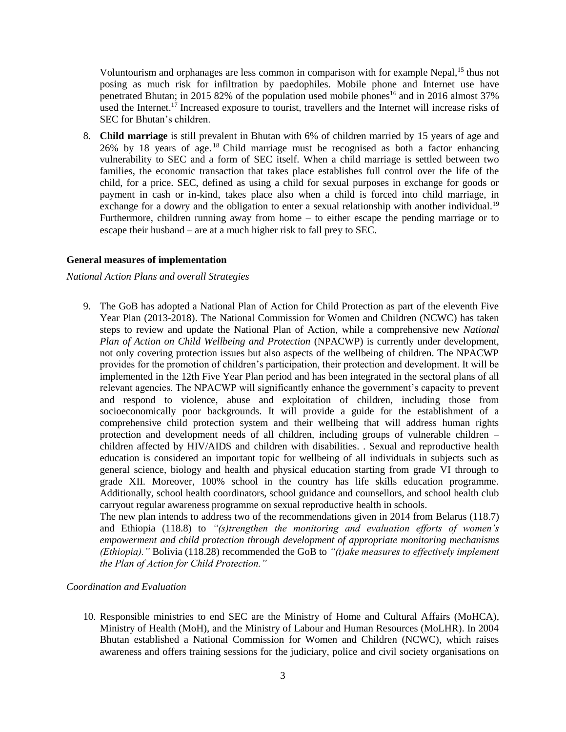Voluntourism and orphanages are less common in comparison with for example Nepal,<sup>15</sup> thus not posing as much risk for infiltration by paedophiles. Mobile phone and Internet use have penetrated Bhutan; in 2015 82% of the population used mobile phones<sup>16</sup> and in 2016 almost 37% used the Internet.<sup>17</sup> Increased exposure to tourist, travellers and the Internet will increase risks of SEC for Bhutan's children.

8. **Child marriage** is still prevalent in Bhutan with 6% of children married by 15 years of age and 26% by 18 years of age. <sup>18</sup> Child marriage must be recognised as both a factor enhancing vulnerability to SEC and a form of SEC itself. When a child marriage is settled between two families, the economic transaction that takes place establishes full control over the life of the child, for a price. SEC, defined as using a child for sexual purposes in exchange for goods or payment in cash or in-kind, takes place also when a child is forced into child marriage, in exchange for a dowry and the obligation to enter a sexual relationship with another individual.<sup>19</sup> Furthermore, children running away from home – to either escape the pending marriage or to escape their husband – are at a much higher risk to fall prey to SEC.

### **General measures of implementation**

### *National Action Plans and overall Strategies*

9. The GoB has adopted a National Plan of Action for Child Protection as part of the eleventh Five Year Plan (2013-2018). The National Commission for Women and Children (NCWC) has taken steps to review and update the National Plan of Action, while a comprehensive new *National Plan of Action on Child Wellbeing and Protection* (NPACWP) is currently under development, not only covering protection issues but also aspects of the wellbeing of children. The NPACWP provides for the promotion of children's participation, their protection and development. It will be implemented in the 12th Five Year Plan period and has been integrated in the sectoral plans of all relevant agencies. The NPACWP will significantly enhance the government's capacity to prevent and respond to violence, abuse and exploitation of children, including those from socioeconomically poor backgrounds. It will provide a guide for the establishment of a comprehensive child protection system and their wellbeing that will address human rights protection and development needs of all children, including groups of vulnerable children – children affected by HIV/AIDS and children with disabilities. . Sexual and reproductive health education is considered an important topic for wellbeing of all individuals in subjects such as general science, biology and health and physical education starting from grade VI through to grade XII. Moreover, 100% school in the country has life skills education programme. Additionally, school health coordinators, school guidance and counsellors, and school health club carryout regular awareness programme on sexual reproductive health in schools.

The new plan intends to address two of the recommendations given in 2014 from Belarus (118.7) and Ethiopia (118.8) to *"(s)trengthen the monitoring and evaluation efforts of women's empowerment and child protection through development of appropriate monitoring mechanisms (Ethiopia)."* Bolivia (118.28) recommended the GoB to *"(t)ake measures to effectively implement the Plan of Action for Child Protection."*

### *Coordination and Evaluation*

10. Responsible ministries to end SEC are the Ministry of Home and Cultural Affairs (MoHCA), Ministry of Health (MoH), and the Ministry of Labour and Human Resources (MoLHR). In 2004 Bhutan established a National Commission for Women and Children (NCWC), which raises awareness and offers training sessions for the judiciary, police and civil society organisations on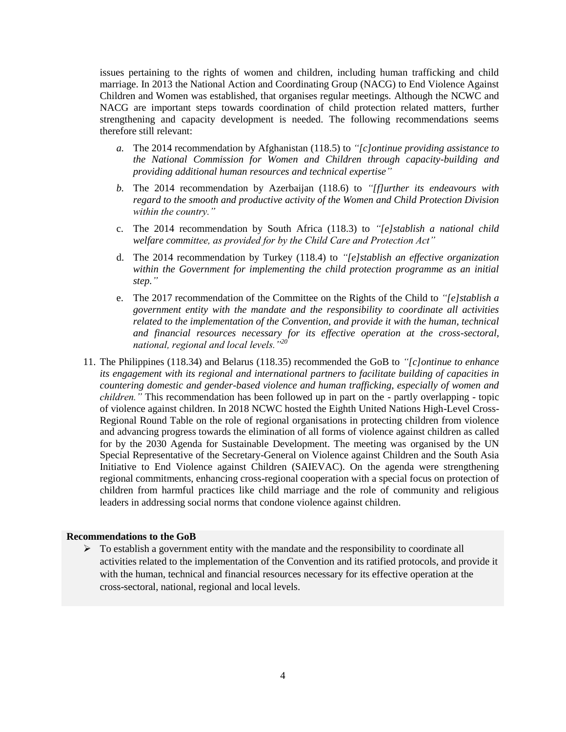issues pertaining to the rights of women and children, including human trafficking and child marriage. In 2013 the National Action and Coordinating Group (NACG) to End Violence Against Children and Women was established, that organises regular meetings. Although the NCWC and NACG are important steps towards coordination of child protection related matters, further strengthening and capacity development is needed. The following recommendations seems therefore still relevant:

- *a.* The 2014 recommendation by Afghanistan (118.5) to *"[c]ontinue providing assistance to the National Commission for Women and Children through capacity-building and providing additional human resources and technical expertise"*
- *b.* The 2014 recommendation by Azerbaijan (118.6) to *"[f]urther its endeavours with regard to the smooth and productive activity of the Women and Child Protection Division within the country."*
- c. The 2014 recommendation by South Africa (118.3) to *"[e]stablish a national child welfare committee, as provided for by the Child Care and Protection Act"*
- d. The 2014 recommendation by Turkey (118.4) to *"[e]stablish an effective organization within the Government for implementing the child protection programme as an initial step."*
- e. The 2017 recommendation of the Committee on the Rights of the Child to *"[e]stablish a government entity with the mandate and the responsibility to coordinate all activities related to the implementation of the Convention, and provide it with the human, technical and financial resources necessary for its effective operation at the cross-sectoral, national, regional and local levels."<sup>20</sup>*
- 11. The Philippines (118.34) and Belarus (118.35) recommended the GoB to *"[c]ontinue to enhance its engagement with its regional and international partners to facilitate building of capacities in countering domestic and gender-based violence and human trafficking, especially of women and children."* This recommendation has been followed up in part on the - partly overlapping - topic of violence against children. In 2018 NCWC hosted the Eighth United Nations High-Level Cross-Regional Round Table on the role of regional organisations in protecting children from violence and advancing progress towards the elimination of all forms of violence against children as called for by the 2030 Agenda for Sustainable Development. The meeting was organised by the UN Special Representative of the Secretary-General on Violence against Children and the South Asia Initiative to End Violence against Children (SAIEVAC). On the agenda were strengthening regional commitments, enhancing cross-regional cooperation with a special focus on protection of children from harmful practices like child marriage and the role of community and religious leaders in addressing social norms that condone violence against children.

#### **Recommendations to the GoB**

 $\triangleright$  To establish a government entity with the mandate and the responsibility to coordinate all activities related to the implementation of the Convention and its ratified protocols, and provide it with the human, technical and financial resources necessary for its effective operation at the cross-sectoral, national, regional and local levels.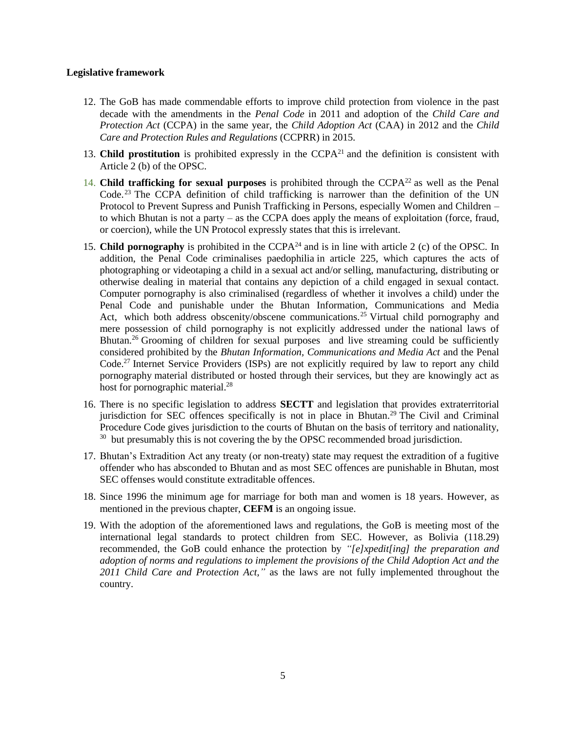## **Legislative framework**

- 12. The GoB has made commendable efforts to improve child protection from violence in the past decade with the amendments in the *Penal Code* in 2011 and adoption of the *Child Care and Protection Act* (CCPA) in the same year, the *Child Adoption Act* (CAA) in 2012 and the *Child Care and Protection Rules and Regulations* (CCPRR) in 2015.
- 13. **Child prostitution** is prohibited expressly in the CCPA<sup>21</sup> and the definition is consistent with Article 2 (b) of the OPSC.
- 14. **Child trafficking for sexual purposes** is prohibited through the CCPA<sup>22</sup> as well as the Penal Code.<sup>23</sup> The CCPA definition of child trafficking is narrower than the definition of the UN Protocol to Prevent Supress and Punish Trafficking in Persons, especially Women and Children – to which Bhutan is not a party – as the CCPA does apply the means of exploitation (force, fraud, or coercion), while the UN Protocol expressly states that this is irrelevant.
- 15. **Child pornography** is prohibited in the  $\text{CCPA}^{24}$  and is in line with article 2 (c) of the OPSC. In addition, the Penal Code criminalises paedophilia in article 225, which captures the acts of photographing or videotaping a child in a sexual act and/or selling, manufacturing, distributing or otherwise dealing in material that contains any depiction of a child engaged in sexual contact. Computer pornography is also criminalised (regardless of whether it involves a child) under the Penal Code and punishable under the Bhutan Information, Communications and Media Act, which both address obscenity/obscene communications.<sup>25</sup> Virtual child pornography and mere possession of child pornography is not explicitly addressed under the national laws of Bhutan.<sup>26</sup> Grooming of children for sexual purposes and live streaming could be sufficiently considered prohibited by the *Bhutan Information, Communications and Media Act* and the Penal Code.<sup>27</sup> Internet Service Providers (ISPs) are not explicitly required by law to report any child pornography material distributed or hosted through their services, but they are knowingly act as host for pornographic material.<sup>28</sup>
- 16. There is no specific legislation to address **SECTT** and legislation that provides extraterritorial jurisdiction for SEC offences specifically is not in place in Bhutan.<sup>29</sup> The Civil and Criminal Procedure Code gives jurisdiction to the courts of Bhutan on the basis of territory and nationality, <sup>30</sup> but presumably this is not covering the by the OPSC recommended broad jurisdiction.
- 17. Bhutan's Extradition Act any treaty (or non-treaty) state may request the extradition of a fugitive offender who has absconded to Bhutan and as most SEC offences are punishable in Bhutan, most SEC offenses would constitute extraditable offences.
- 18. Since 1996 the minimum age for marriage for both man and women is 18 years. However, as mentioned in the previous chapter, **CEFM** is an ongoing issue.
- 19. With the adoption of the aforementioned laws and regulations, the GoB is meeting most of the international legal standards to protect children from SEC. However, as Bolivia (118.29) recommended, the GoB could enhance the protection by *"[e]xpedit[ing] the preparation and adoption of norms and regulations to implement the provisions of the Child Adoption Act and the 2011 Child Care and Protection Act,"* as the laws are not fully implemented throughout the country.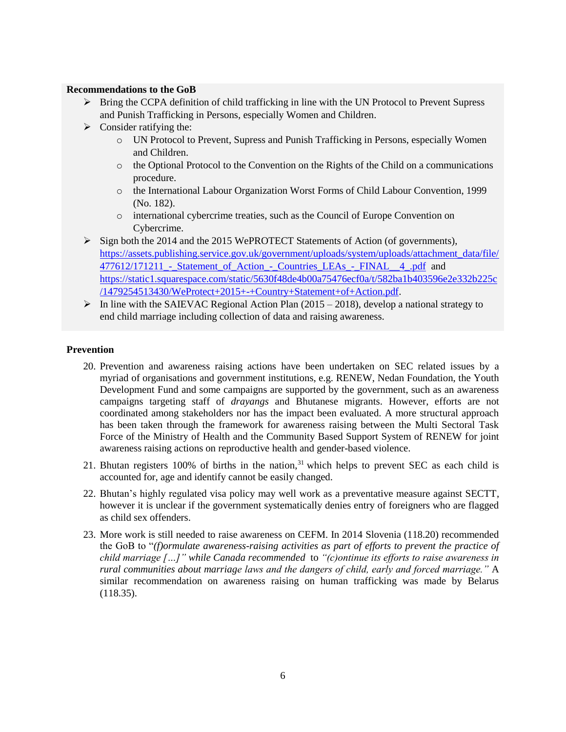## **Recommendations to the GoB**

- Bring the CCPA definition of child trafficking in line with the UN Protocol to Prevent Supress and Punish Trafficking in Persons, especially Women and Children.
- $\triangleright$  Consider ratifying the:
	- o UN Protocol to Prevent, Supress and Punish Trafficking in Persons, especially Women and Children.
	- $\circ$  the Optional Protocol to the Convention on the Rights of the Child on a communications procedure.
	- o the International Labour Organization Worst Forms of Child Labour Convention, 1999 (No. 182).
	- o international cybercrime treaties, such as the Council of Europe Convention on Cybercrime.
- Sign both the 2014 and the 2015 WePROTECT Statements of Action (of governments), [https://assets.publishing.service.gov.uk/government/uploads/system/uploads/attachment\\_data/file/](https://assets.publishing.service.gov.uk/government/uploads/system/uploads/attachment_data/file/477612/171211_-_Statement_of_Action_-_Countries_LEAs_-_FINAL__4_.pdf) 477612/171211 - Statement of Action - Countries LEAs - FINAL 4 .pdf and [https://static1.squarespace.com/static/5630f48de4b00a75476ecf0a/t/582ba1b403596e2e332b225c](https://static1.squarespace.com/static/5630f48de4b00a75476ecf0a/t/582ba1b403596e2e332b225c/1479254513430/WeProtect+2015+-+Country+Statement+of+Action.pdf) [/1479254513430/WeProtect+2015+-+Country+Statement+of+Action.pdf.](https://static1.squarespace.com/static/5630f48de4b00a75476ecf0a/t/582ba1b403596e2e332b225c/1479254513430/WeProtect+2015+-+Country+Statement+of+Action.pdf)
- In line with the SAIEVAC Regional Action Plan (2015 2018), develop a national strategy to end child marriage including collection of data and raising awareness.

## **Prevention**

- 20. Prevention and awareness raising actions have been undertaken on SEC related issues by a myriad of organisations and government institutions, e.g. RENEW, Nedan Foundation, the Youth Development Fund and some campaigns are supported by the government, such as an awareness campaigns targeting staff of *drayangs* and Bhutanese migrants. However, efforts are not coordinated among stakeholders nor has the impact been evaluated. A more structural approach has been taken through the framework for awareness raising between the Multi Sectoral Task Force of the Ministry of Health and the Community Based Support System of RENEW for joint awareness raising actions on reproductive health and gender-based violence.
- 21. Bhutan registers  $100\%$  of births in the nation,<sup>31</sup> which helps to prevent SEC as each child is accounted for, age and identify cannot be easily changed.
- 22. Bhutan's highly regulated visa policy may well work as a preventative measure against SECTT, however it is unclear if the government systematically denies entry of foreigners who are flagged as child sex offenders.
- 23. More work is still needed to raise awareness on CEFM. In 2014 Slovenia (118.20) recommended the GoB to "*(f)ormulate awareness-raising activities as part of efforts to prevent the practice of child marriage […]" while Canada recommended* to *"(c)ontinue its efforts to raise awareness in rural communities about marriage laws and the dangers of child, early and forced marriage."* A similar recommendation on awareness raising on human trafficking was made by Belarus (118.35).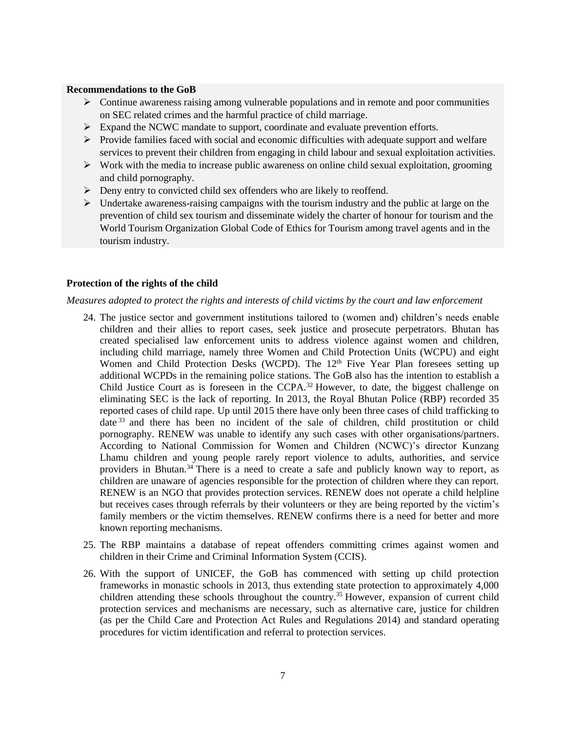### **Recommendations to the GoB**

- $\triangleright$  Continue awareness raising among vulnerable populations and in remote and poor communities on SEC related crimes and the harmful practice of child marriage.
- $\triangleright$  Expand the NCWC mandate to support, coordinate and evaluate prevention efforts.
- $\triangleright$  Provide families faced with social and economic difficulties with adequate support and welfare services to prevent their children from engaging in child labour and sexual exploitation activities.
- $\triangleright$  Work with the media to increase public awareness on online child sexual exploitation, grooming and child pornography.
- $\triangleright$  Deny entry to convicted child sex offenders who are likely to reoffend.
- $\triangleright$  Undertake awareness-raising campaigns with the tourism industry and the public at large on the prevention of child sex tourism and disseminate widely the charter of honour for tourism and the World Tourism Organization Global Code of Ethics for Tourism among travel agents and in the tourism industry.

### **Protection of the rights of the child**

#### *Measures adopted to protect the rights and interests of child victims by the court and law enforcement*

- 24. The justice sector and government institutions tailored to (women and) children's needs enable children and their allies to report cases, seek justice and prosecute perpetrators. Bhutan has created specialised law enforcement units to address violence against women and children, including child marriage, namely three Women and Child Protection Units (WCPU) and eight Women and Child Protection Desks (WCPD). The  $12<sup>th</sup>$  Five Year Plan foresees setting up additional WCPDs in the remaining police stations. The GoB also has the intention to establish a Child Justice Court as is foreseen in the CCPA.<sup>32</sup> However, to date, the biggest challenge on eliminating SEC is the lack of reporting. In 2013, the Royal Bhutan Police (RBP) recorded 35 reported cases of child rape. Up until 2015 there have only been three cases of child trafficking to date<sup>33</sup> and there has been no incident of the sale of children, child prostitution or child pornography. RENEW was unable to identify any such cases with other organisations/partners. According to National Commission for Women and Children (NCWC)'s director Kunzang Lhamu children and young people rarely report violence to adults, authorities, and service providers in Bhutan.<sup>34</sup> There is a need to create a safe and publicly known way to report, as children are unaware of agencies responsible for the protection of children where they can report. RENEW is an NGO that provides protection services. RENEW does not operate a child helpline but receives cases through referrals by their volunteers or they are being reported by the victim's family members or the victim themselves. RENEW confirms there is a need for better and more known reporting mechanisms.
- 25. The RBP maintains a database of repeat offenders committing crimes against women and children in their Crime and Criminal Information System (CCIS).
- 26. With the support of UNICEF, the GoB has commenced with setting up child protection frameworks in monastic schools in 2013, thus extending state protection to approximately 4,000 children attending these schools throughout the country.<sup>35</sup> However, expansion of current child protection services and mechanisms are necessary, such as alternative care, justice for children (as per the Child Care and Protection Act Rules and Regulations 2014) and standard operating procedures for victim identification and referral to protection services.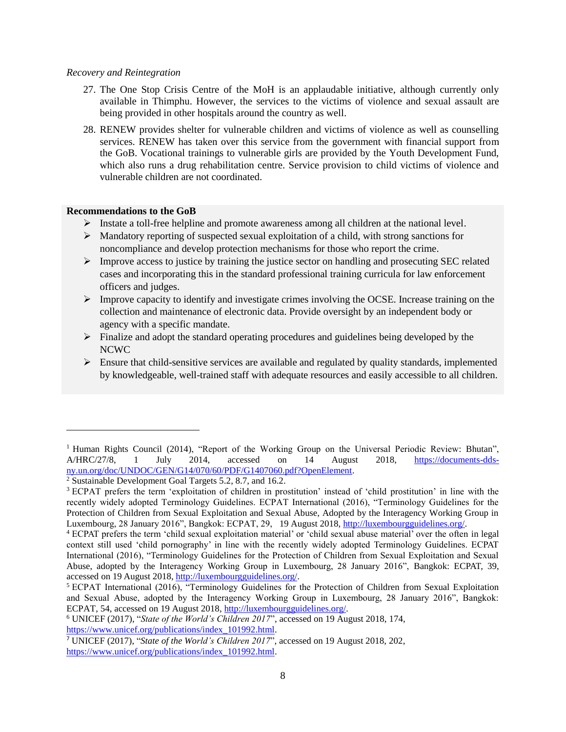#### *Recovery and Reintegration*

- 27. The One Stop Crisis Centre of the MoH is an applaudable initiative, although currently only available in Thimphu. However, the services to the victims of violence and sexual assault are being provided in other hospitals around the country as well.
- 28. RENEW provides shelter for vulnerable children and victims of violence as well as counselling services. RENEW has taken over this service from the government with financial support from the GoB. Vocational trainings to vulnerable girls are provided by the Youth Development Fund, which also runs a drug rehabilitation centre. Service provision to child victims of violence and vulnerable children are not coordinated.

## **Recommendations to the GoB**

 $\overline{a}$ 

- Instate a toll-free helpline and promote awareness among all children at the national level.
- $\triangleright$  Mandatory reporting of suspected sexual exploitation of a child, with strong sanctions for noncompliance and develop protection mechanisms for those who report the crime.
- $\triangleright$  Improve access to justice by training the justice sector on handling and prosecuting SEC related cases and incorporating this in the standard professional training curricula for law enforcement officers and judges.
- $\triangleright$  Improve capacity to identify and investigate crimes involving the OCSE. Increase training on the collection and maintenance of electronic data. Provide oversight by an independent body or agency with a specific mandate.
- $\triangleright$  Finalize and adopt the standard operating procedures and guidelines being developed by the NCWC
- $\triangleright$  Ensure that child-sensitive services are available and regulated by quality standards, implemented by knowledgeable, well-trained staff with adequate resources and easily accessible to all children.

<sup>&</sup>lt;sup>1</sup> Human Rights Council (2014), "Report of the Working Group on the Universal Periodic Review: Bhutan", A/HRC/27/8, 1 July 2014, accessed on 14 August 2018, [https://documents-dds](https://documents-dds-ny.un.org/doc/UNDOC/GEN/G14/070/60/PDF/G1407060.pdf?OpenElement)[ny.un.org/doc/UNDOC/GEN/G14/070/60/PDF/G1407060.pdf?OpenElement.](https://documents-dds-ny.un.org/doc/UNDOC/GEN/G14/070/60/PDF/G1407060.pdf?OpenElement)

<sup>2</sup> Sustainable Development Goal Targets 5.2, 8.7, and 16.2.

<sup>3</sup> ECPAT prefers the term 'exploitation of children in prostitution' instead of 'child prostitution' in line with the recently widely adopted Terminology Guidelines. ECPAT International (2016), "Terminology Guidelines for the Protection of Children from Sexual Exploitation and Sexual Abuse, Adopted by the Interagency Working Group in Luxembourg, 28 January 2016", Bangkok: ECPAT, 29, 19 August 2018, [http://luxembourgguidelines.org/.](http://luxembourgguidelines.org/)

<sup>4</sup> ECPAT prefers the term 'child sexual exploitation material' or 'child sexual abuse material' over the often in legal context still used 'child pornography' in line with the recently widely adopted Terminology Guidelines. ECPAT International (2016), "Terminology Guidelines for the Protection of Children from Sexual Exploitation and Sexual Abuse, adopted by the Interagency Working Group in Luxembourg, 28 January 2016", Bangkok: ECPAT, 39, accessed on 19 August 2018, [http://luxembourgguidelines.org/.](http://luxembourgguidelines.org/)

<sup>5</sup> ECPAT International (2016), "Terminology Guidelines for the Protection of Children from Sexual Exploitation and Sexual Abuse, adopted by the Interagency Working Group in Luxembourg, 28 January 2016", Bangkok: ECPAT, 54, accessed on 19 August 2018[, http://luxembourgguidelines.org/.](http://luxembourgguidelines.org/)

<sup>6</sup> UNICEF (2017), "*State of the World's Children 2017*", accessed on 19 August 2018, 174, [https://www.unicef.org/publications/index\\_101992.html.](https://www.unicef.org/publications/index_101992.html)

<sup>7</sup> UNICEF (2017), "*State of the World's Children 2017*", accessed on 19 August 2018, 202, [https://www.unicef.org/publications/index\\_101992.html.](https://www.unicef.org/publications/index_101992.html)